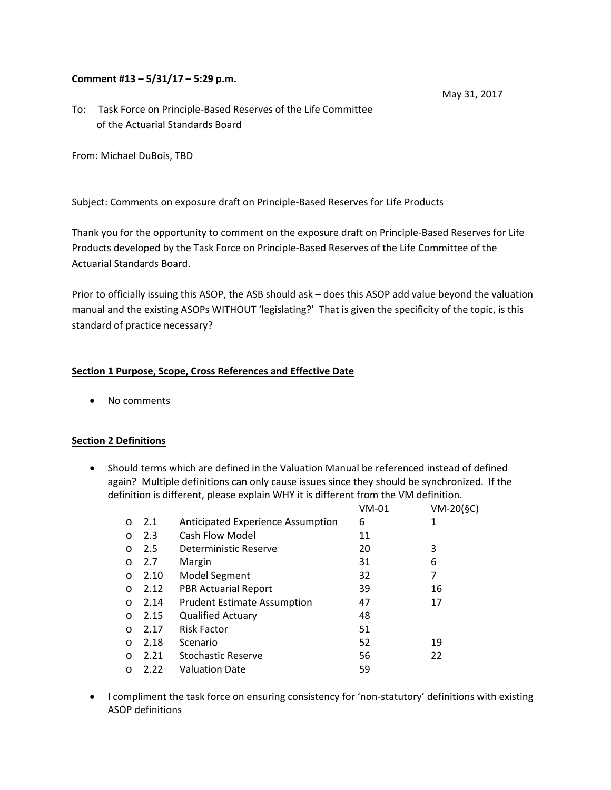### **Comment #13 – 5/31/17 – 5:29 p.m.**

To: Task Force on Principle-Based Reserves of the Life Committee of the Actuarial Standards Board

From: Michael DuBois, TBD

Subject: Comments on exposure draft on Principle‐Based Reserves for Life Products

Thank you for the opportunity to comment on the exposure draft on Principle‐Based Reserves for Life Products developed by the Task Force on Principle‐Based Reserves of the Life Committee of the Actuarial Standards Board.

Prior to officially issuing this ASOP, the ASB should ask – does this ASOP add value beyond the valuation manual and the existing ASOPs WITHOUT 'legislating?' That is given the specificity of the topic, is this standard of practice necessary?

## **Section 1 Purpose, Scope, Cross References and Effective Date**

• No comments

## **Section 2 Definitions**

 Should terms which are defined in the Valuation Manual be referenced instead of defined again? Multiple definitions can only cause issues since they should be synchronized. If the definition is different, please explain WHY it is different from the VM definition.

|         |      |                                    | VM-01 | $VM-20(\S C)$ |
|---------|------|------------------------------------|-------|---------------|
| $\circ$ | 2.1  | Anticipated Experience Assumption  | 6     | 1             |
| $\circ$ | 2.3  | Cash Flow Model                    | 11    |               |
| $\circ$ | 2.5  | Deterministic Reserve              | 20    | 3             |
| $\circ$ | 2.7  | Margin                             | 31    | 6             |
| $\circ$ | 2.10 | Model Segment                      | 32    | 7             |
| $\circ$ | 2.12 | <b>PBR Actuarial Report</b>        | 39    | 16            |
| $\circ$ | 2.14 | <b>Prudent Estimate Assumption</b> | 47    | 17            |
| $\circ$ | 2.15 | <b>Qualified Actuary</b>           | 48    |               |
| $\circ$ | 2.17 | <b>Risk Factor</b>                 | 51    |               |
| $\circ$ | 2.18 | Scenario                           | 52    | 19            |
| $\circ$ | 2.21 | <b>Stochastic Reserve</b>          | 56    | 22            |
| $\circ$ | 2.22 | <b>Valuation Date</b>              | 59    |               |

● I compliment the task force on ensuring consistency for 'non-statutory' definitions with existing ASOP definitions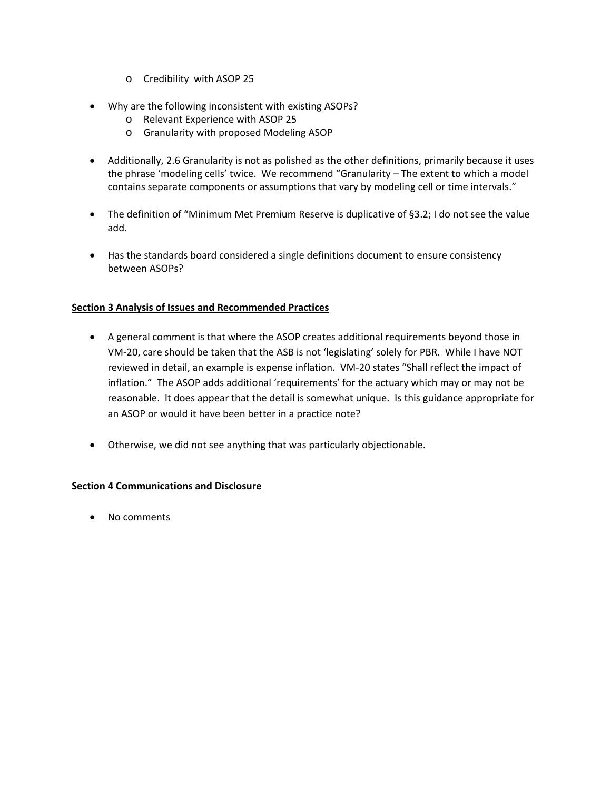- o Credibility with ASOP 25
- Why are the following inconsistent with existing ASOPs?
	- o Relevant Experience with ASOP 25
	- o Granularity with proposed Modeling ASOP
- Additionally, 2.6 Granularity is not as polished as the other definitions, primarily because it uses the phrase 'modeling cells' twice. We recommend "Granularity – The extent to which a model contains separate components or assumptions that vary by modeling cell or time intervals."
- The definition of "Minimum Met Premium Reserve is duplicative of §3.2; I do not see the value add.
- Has the standards board considered a single definitions document to ensure consistency between ASOPs?

# **Section 3 Analysis of Issues and Recommended Practices**

- A general comment is that where the ASOP creates additional requirements beyond those in VM‐20, care should be taken that the ASB is not 'legislating' solely for PBR. While I have NOT reviewed in detail, an example is expense inflation. VM‐20 states "Shall reflect the impact of inflation." The ASOP adds additional 'requirements' for the actuary which may or may not be reasonable. It does appear that the detail is somewhat unique. Is this guidance appropriate for an ASOP or would it have been better in a practice note?
- Otherwise, we did not see anything that was particularly objectionable.

## **Section 4 Communications and Disclosure**

• No comments